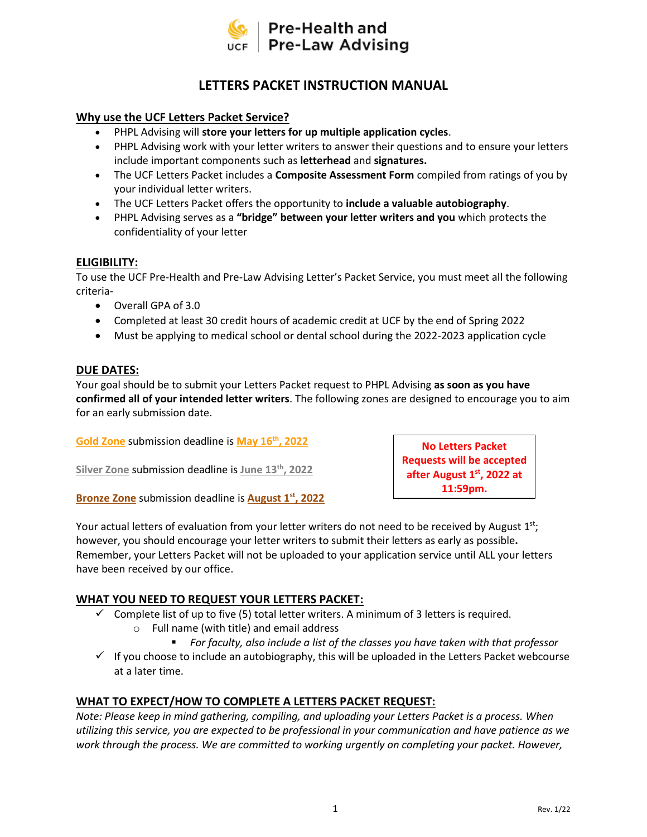

# **LETTERS PACKET INSTRUCTION MANUAL**

### **Why use the UCF Letters Packet Service?**

- PHPL Advising will **store your letters for up multiple application cycles**.
- PHPL Advising work with your letter writers to answer their questions and to ensure your letters include important components such as **letterhead** and **signatures.**
- The UCF Letters Packet includes a **Composite Assessment Form** compiled from ratings of you by your individual letter writers.
- The UCF Letters Packet offers the opportunity to **include a valuable autobiography**.
- PHPL Advising serves as a **"bridge" between your letter writers and you** which protects the confidentiality of your letter

#### **ELIGIBILITY:**

To use the UCF Pre-Health and Pre-Law Advising Letter's Packet Service, you must meet all the following criteria-

- Overall GPA of 3.0
- Completed at least 30 credit hours of academic credit at UCF by the end of Spring 2022
- Must be applying to medical school or dental school during the 2022-2023 application cycle

#### **DUE DATES:**

Your goal should be to submit your Letters Packet request to PHPL Advising **as soon as you have confirmed all of your intended letter writers**. The following zones are designed to encourage you to aim for an early submission date.

**Gold Zone** submission deadline is **May 16 th, 2022**

**Silver Zone** submission deadline is **June 13 th, 2022**

**Bronze Zone** submission deadline is **August 1 st, 2022**

Your actual letters of evaluation from your letter writers do not need to be received by August 1st; however, you should encourage your letter writers to submit their letters as early as possible**.**  Remember, your Letters Packet will not be uploaded to your application service until ALL your letters have been received by our office.

### **WHAT YOU NEED TO REQUEST YOUR LETTERS PACKET:**

- $\checkmark$  Complete list of up to five (5) total letter writers. A minimum of 3 letters is required. o Full name (with title) and email address
	- *For faculty, also include a list of the classes you have taken with that professor*

**No Letters Packet Requests will be accepted after August 1 st , 2022 at 11:59pm.**

✓ If you choose to include an autobiography, this will be uploaded in the Letters Packet webcourse at a later time.

### **WHAT TO EXPECT/HOW TO COMPLETE A LETTERS PACKET REQUEST:**

*Note: Please keep in mind gathering, compiling, and uploading your Letters Packet is a process. When utilizing this service, you are expected to be professional in your communication and have patience as we work through the process. We are committed to working urgently on completing your packet. However,*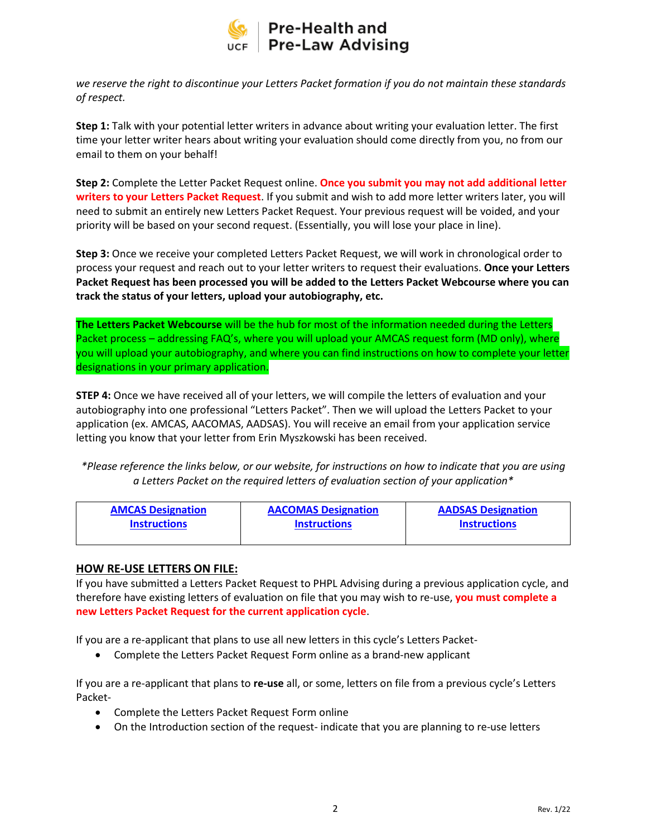

*we reserve the right to discontinue your Letters Packet formation if you do not maintain these standards of respect.* 

**Step 1:** Talk with your potential letter writers in advance about writing your evaluation letter. The first time your letter writer hears about writing your evaluation should come directly from you, no from our email to them on your behalf!

**Step 2:** Complete the Letter Packet Request online. **Once you submit you may not add additional letter writers to your Letters Packet Request**. If you submit and wish to add more letter writers later, you will need to submit an entirely new Letters Packet Request. Your previous request will be voided, and your priority will be based on your second request. (Essentially, you will lose your place in line).

**Step 3:** Once we receive your completed Letters Packet Request, we will work in chronological order to process your request and reach out to your letter writers to request their evaluations. **Once your Letters Packet Request has been processed you will be added to the Letters Packet Webcourse where you can track the status of your letters, upload your autobiography, etc.**

**The Letters Packet Webcourse** will be the hub for most of the information needed during the Letters Packet process – addressing FAQ's, where you will upload your AMCAS request form (MD only), where you will upload your autobiography, and where you can find instructions on how to complete your letter designations in your primary application.

**STEP 4:** Once we have received all of your letters, we will compile the letters of evaluation and your autobiography into one professional "Letters Packet". Then we will upload the Letters Packet to your application (ex. AMCAS, AACOMAS, AADSAS). You will receive an email from your application service letting you know that your letter from Erin Myszkowski has been received.

*\*Please reference the links below, or our website, for instructions on how to indicate that you are using a Letters Packet on the required letters of evaluation section of your application\**

| <b>AMCAS Designation</b> | <b>AACOMAS Designation</b> | <b>AADSAS Designation</b> |
|--------------------------|----------------------------|---------------------------|
| <b>Instructions</b>      | <b>Instructions</b>        | <b>Instructions</b>       |
|                          |                            |                           |

#### **HOW RE-USE LETTERS ON FILE:**

If you have submitted a Letters Packet Request to PHPL Advising during a previous application cycle, and therefore have existing letters of evaluation on file that you may wish to re-use, **you must complete a new Letters Packet Request for the current application cycle**.

If you are a re-applicant that plans to use all new letters in this cycle's Letters Packet-

• Complete the Letters Packet Request Form online as a brand-new applicant

If you are a re-applicant that plans to **re-use** all, or some, letters on file from a previous cycle's Letters Packet-

- Complete the Letters Packet Request Form online
- On the Introduction section of the request- indicate that you are planning to re-use letters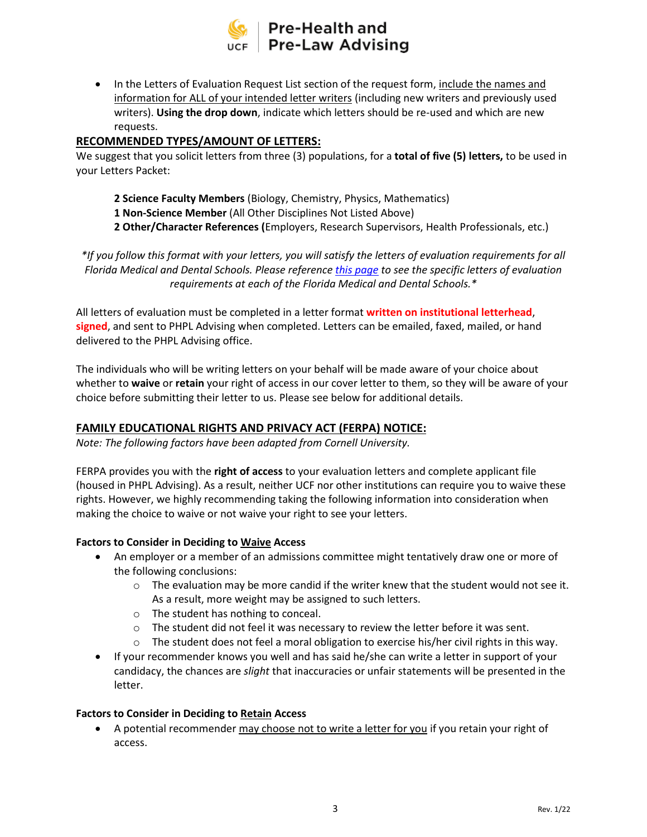

• In the Letters of Evaluation Request List section of the request form, include the names and information for ALL of your intended letter writers (including new writers and previously used writers). **Using the drop down**, indicate which letters should be re-used and which are new requests.

### **RECOMMENDED TYPES/AMOUNT OF LETTERS:**

We suggest that you solicit letters from three (3) populations, for a **total of five (5) letters,** to be used in your Letters Packet:

**2 Science Faculty Members** (Biology, Chemistry, Physics, Mathematics) **1 Non-Science Member** (All Other Disciplines Not Listed Above) **2 Other/Character References (**Employers, Research Supervisors, Health Professionals, etc.)

*\*If you follow this format with your letters, you will satisfy the letters of evaluation requirements for all Florida Medical and Dental Schools. Please reference [this page](https://phpladvising.ucf.edu/wp-content/uploads/sites/16/2021/01/Florida-Schools-Required-Letters-of-Evaluation.pdf) to see the specific letters of evaluation requirements at each of the Florida Medical and Dental Schools.\**

All letters of evaluation must be completed in a letter format **written on institutional letterhead**, **signed**, and sent to PHPL Advising when completed. Letters can be emailed, faxed, mailed, or hand delivered to the PHPL Advising office.

The individuals who will be writing letters on your behalf will be made aware of your choice about whether to **waive** or **retain** your right of access in our cover letter to them, so they will be aware of your choice before submitting their letter to us. Please see below for additional details.

### **FAMILY EDUCATIONAL RIGHTS AND PRIVACY ACT (FERPA) NOTICE:**

*Note: The following factors have been adapted from Cornell University.* 

FERPA provides you with the **right of access** to your evaluation letters and complete applicant file (housed in PHPL Advising). As a result, neither UCF nor other institutions can require you to waive these rights. However, we highly recommending taking the following information into consideration when making the choice to waive or not waive your right to see your letters.

#### **Factors to Consider in Deciding to Waive Access**

- An employer or a member of an admissions committee might tentatively draw one or more of the following conclusions:
	- $\circ$  The evaluation may be more candid if the writer knew that the student would not see it. As a result, more weight may be assigned to such letters.
	- o The student has nothing to conceal.
	- o The student did not feel it was necessary to review the letter before it was sent.
	- $\circ$  The student does not feel a moral obligation to exercise his/her civil rights in this way.
- If your recommender knows you well and has said he/she can write a letter in support of your candidacy, the chances are *slight* that inaccuracies or unfair statements will be presented in the letter.

#### **Factors to Consider in Deciding to Retain Access**

• A potential recommender may choose not to write a letter for you if you retain your right of access.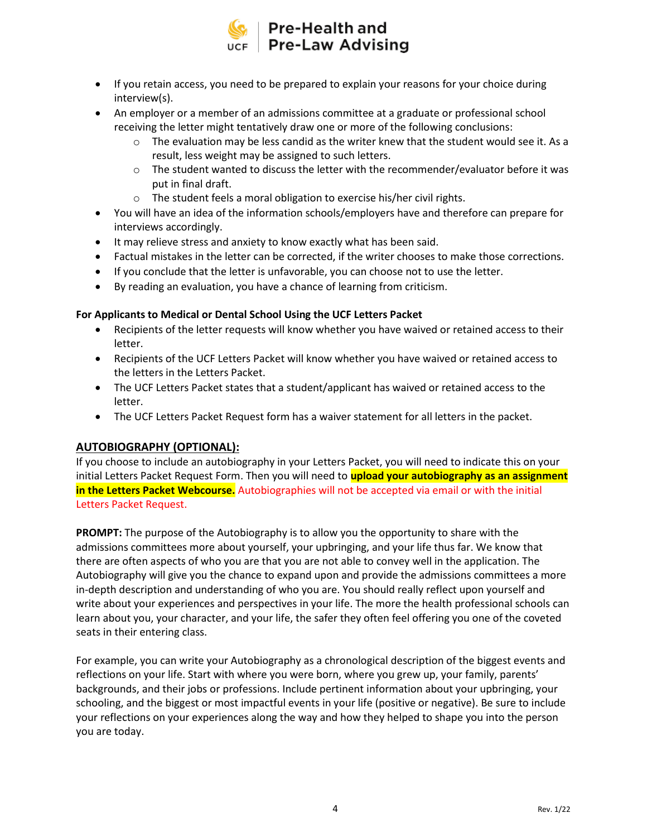

- If you retain access, you need to be prepared to explain your reasons for your choice during interview(s).
- An employer or a member of an admissions committee at a graduate or professional school receiving the letter might tentatively draw one or more of the following conclusions:
	- $\circ$  The evaluation may be less candid as the writer knew that the student would see it. As a result, less weight may be assigned to such letters.
	- $\circ$  The student wanted to discuss the letter with the recommender/evaluator before it was put in final draft.
	- o The student feels a moral obligation to exercise his/her civil rights.
- You will have an idea of the information schools/employers have and therefore can prepare for interviews accordingly.
- It may relieve stress and anxiety to know exactly what has been said.
- Factual mistakes in the letter can be corrected, if the writer chooses to make those corrections.
- If you conclude that the letter is unfavorable, you can choose not to use the letter.
- By reading an evaluation, you have a chance of learning from criticism.

#### **For Applicants to Medical or Dental School Using the UCF Letters Packet**

- Recipients of the letter requests will know whether you have waived or retained access to their letter.
- Recipients of the UCF Letters Packet will know whether you have waived or retained access to the letters in the Letters Packet.
- The UCF Letters Packet states that a student/applicant has waived or retained access to the letter.
- The UCF Letters Packet Request form has a waiver statement for all letters in the packet.

### **AUTOBIOGRAPHY (OPTIONAL):**

If you choose to include an autobiography in your Letters Packet, you will need to indicate this on your initial Letters Packet Request Form. Then you will need to **upload your autobiography as an assignment in the Letters Packet Webcourse.** Autobiographies will not be accepted via email or with the initial Letters Packet Request.

**PROMPT:** The purpose of the Autobiography is to allow you the opportunity to share with the admissions committees more about yourself, your upbringing, and your life thus far. We know that there are often aspects of who you are that you are not able to convey well in the application. The Autobiography will give you the chance to expand upon and provide the admissions committees a more in-depth description and understanding of who you are. You should really reflect upon yourself and write about your experiences and perspectives in your life. The more the health professional schools can learn about you, your character, and your life, the safer they often feel offering you one of the coveted seats in their entering class.

For example, you can write your Autobiography as a chronological description of the biggest events and reflections on your life. Start with where you were born, where you grew up, your family, parents' backgrounds, and their jobs or professions. Include pertinent information about your upbringing, your schooling, and the biggest or most impactful events in your life (positive or negative). Be sure to include your reflections on your experiences along the way and how they helped to shape you into the person you are today.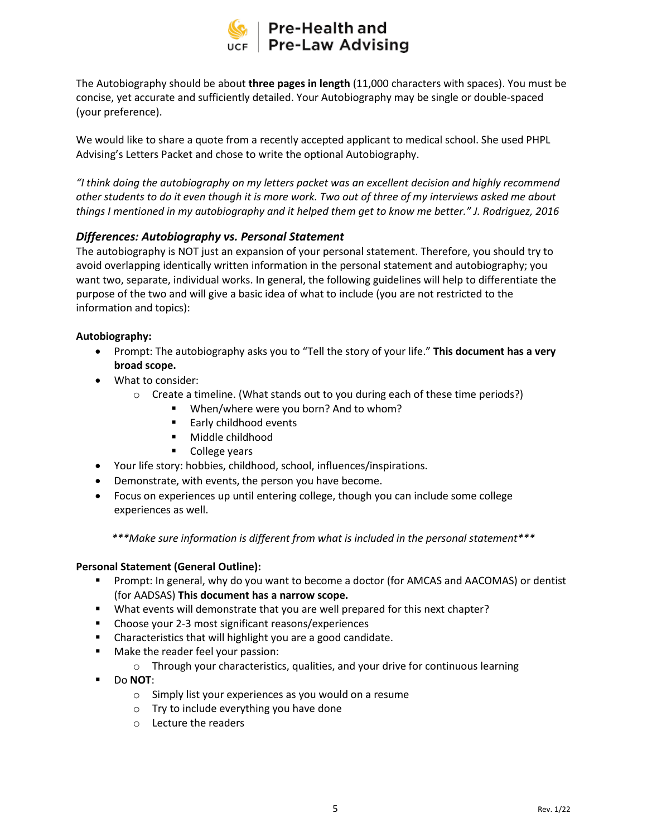

The Autobiography should be about **three pages in length** (11,000 characters with spaces). You must be concise, yet accurate and sufficiently detailed. Your Autobiography may be single or double-spaced (your preference).

We would like to share a quote from a recently accepted applicant to medical school. She used PHPL Advising's Letters Packet and chose to write the optional Autobiography.

*"I think doing the autobiography on my letters packet was an excellent decision and highly recommend other students to do it even though it is more work. Two out of three of my interviews asked me about things I mentioned in my autobiography and it helped them get to know me better." J. Rodriguez, 2016*

### *Differences: Autobiography vs. Personal Statement*

The autobiography is NOT just an expansion of your personal statement. Therefore, you should try to avoid overlapping identically written information in the personal statement and autobiography; you want two, separate, individual works. In general, the following guidelines will help to differentiate the purpose of the two and will give a basic idea of what to include (you are not restricted to the information and topics):

#### **Autobiography:**

- Prompt: The autobiography asks you to "Tell the story of your life." **This document has a very broad scope.**
- What to consider:
	- o Create a timeline. (What stands out to you during each of these time periods?)
		- When/where were you born? And to whom?
		- Early childhood events
		- Middle childhood
		- College years
- Your life story: hobbies, childhood, school, influences/inspirations.
- Demonstrate, with events, the person you have become.
- Focus on experiences up until entering college, though you can include some college experiences as well.

*\*\*\*Make sure information is different from what is included in the personal statement\*\*\**

#### **Personal Statement (General Outline):**

- Prompt: In general, why do you want to become a doctor (for AMCAS and AACOMAS) or dentist (for AADSAS) **This document has a narrow scope.**
- What events will demonstrate that you are well prepared for this next chapter?
- Choose your 2-3 most significant reasons/experiences
- Characteristics that will highlight you are a good candidate.
- Make the reader feel your passion:
	- $\circ$  Through your characteristics, qualities, and your drive for continuous learning
- Do **NOT**:
	- o Simply list your experiences as you would on a resume
	- o Try to include everything you have done
	- o Lecture the readers